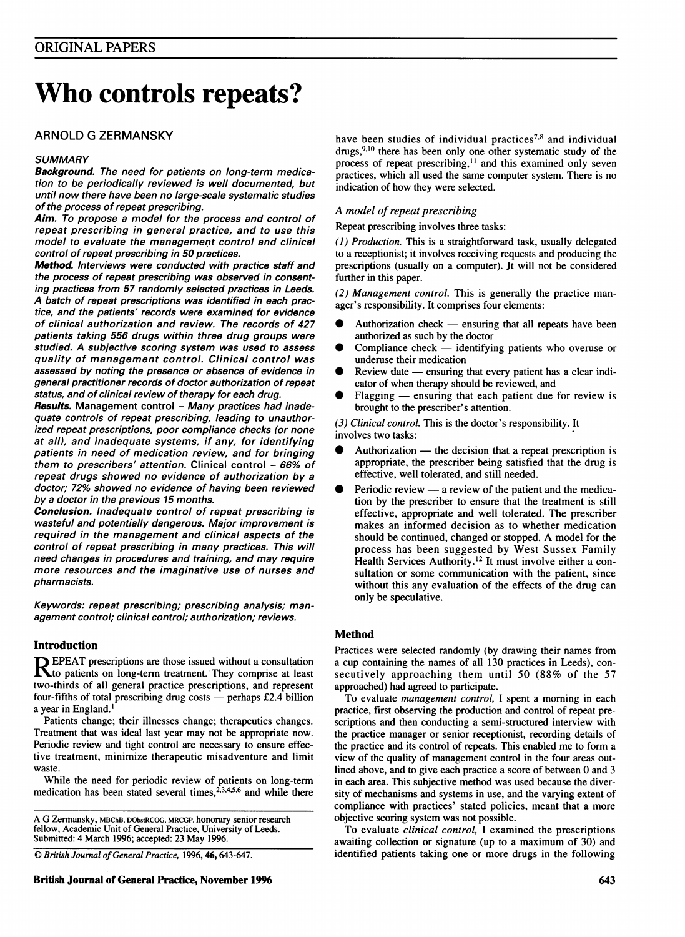# Who controls repeats?

# ARNOLD G ZERMANSKY

# **SUMMARY**

Background. The need for patients on long-term medication to be periodically reviewed is well documented, but until now there have been no large-scale systematic studies of the process of repeat prescribing.

Aim. To propose a model for the process and control of repeat prescribing in general practice, and to use this model to evaluate the management control and clinical control of repeat prescribing in 50 practices.

Method. Interviews were conducted with practice staff and the process of repeat prescribing was observed in consenting practices from 57 randomly selected practices in Leeds. A batch of repeat prescriptions was identified in each practice, and the patients' records were examined for evidence of clinical authorization and review. The records of 427 patients taking 556 drugs within three drug groups were studied. A subjective scoring system was used to assess quality of management control. Clinical control was assessed by noting the presence or absence of evidence in general practitioner records of doctor authorization of repeat status, and of clinical review of therapy for each drug.

Results. Management control - Many practices had inadequate controls of repeat prescribing, leading to unauthorized repeat prescriptions, poor compliance checks (or none at all), and inadequate systems, if any, for identifying patients in need of medication review, and for bringing them to prescribers' attention. Clinical control - 66% of repeat drugs showed no evidence of authorization by a doctor; 72% showed no evidence of having been reviewed by a doctor in the previous 15 months.

Conclusion. Inadequate control of repeat prescribing is wasteful and potentially dangerous. Major improvement is required in the management and clinical aspects of the control of repeat prescribing in many practices. This will need changes in procedures and training, and may require more resources and the imaginative use of nurses and pharmacists.

Keywords: repeat prescribing; prescribing analysis; management control; clinical control; authorization; reviews.

# Introduction

 $\mathbf R$  EPEAT prescriptions are those issued without a consultation  $\mathbf R$  to patients on long-term treatment. They comprise at least two-thirds of all general practice prescriptions, and represent four-fifths of total prescribing drug costs  $-$  perhaps £2.4 billion a year in England. '

Patients change; their illnesses change; therapeutics changes. Treatment that was ideal last year may not be appropriate now. Periodic review and tight control are necessary to ensure effective treatment, minimize therapeutic misadventure and limit waste.

While the need for periodic review of patients on long-term medication has been stated several times,<sup>2,3,4,5,6</sup> and while there

A G Zermansky, MBChB, DObstRCOG, MRCGP, honorary senior research fellow, Academic Unit of General Practice, University of Leeds. Submitted: 4 March 1996; accepted: 23 May 1996.

C British Journal of General Practice, 1996, 46, 643-647.

have been studies of individual practices<sup>7,8</sup> and individual drugs,  $9,10$  there has been only one other systematic study of the process of repeat prescribing,<sup>11</sup> and this examined only seven practices, which all used the same computer system. There is no indication of how they were selected.

# A model of repeat prescribing

Repeat prescribing involves three tasks:

(1) Production. This is a straightforward task, usually delegated to a receptionist; it involves receiving requests and producing the prescriptions (usually on a computer). It will not be considered further in this paper.

(2) Management control. This is generally the practice manager's responsibility. It comprises four elements:

- Authorization check  $-$  ensuring that all repeats have been authorized as such by the doctor
- Compliance check  $-$  identifying patients who overuse or underuse their medication
- Review date ensuring that every patient has a clear indicator of when therapy should be reviewed, and
- $F$ lagging  $-$  ensuring that each patient due for review is brought to the prescriber's attention.

(3) Clinical control. This is the doctor's responsibility. It involves two tasks:

- Authorization  $-$  the decision that a repeat prescription is appropriate, the prescriber being satisfied that the drug is effective, well tolerated, and still needed.
- Periodic review a review of the patient and the medication by the prescriber to ensure that the treatment is still effective, appropriate and well tolerated. The prescriber makes an informed decision as to whether medication should be continued, changed or stopped. A model for the process has been suggested by West Sussex Family Health Services Authority.<sup>12</sup> It must involve either a consultation or some communication with the patient, since without this any evaluation of the effects of the drug can only be speculative.

# Method

Practices were selected randomly (by drawing their names from a cup containing the names of all 130 practices in Leeds), consecutively approaching them until 50 (88% of the 57 approached) had agreed to participate.

To evaluate management control, <sup>I</sup> spent a morning in each practice, first observing the production and control of repeat prescriptions and then conducting a semi-structured interview with the practice manager or senior receptionist, recording details of the practice and its control of repeats. This enabled me to form <sup>a</sup> view of the quality of management control in the four areas outlined above, and to give each practice a score of between 0 and 3 in each area. This subjective method was used because the diversity of mechanisms and systems in use, and the varying extent of compliance with practices' stated policies, meant that a more objective scoring system was not possible.

To evaluate clinical control, <sup>I</sup> examined the prescriptions awaiting collection or signature (up to a maximum of 30) and identified patients taking one or more drugs in the following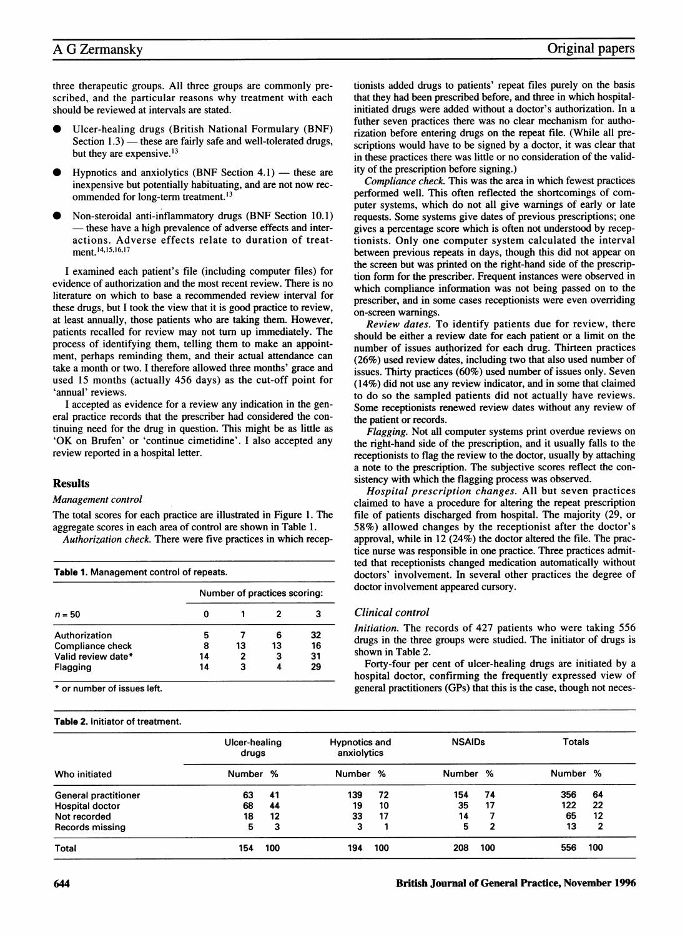three therapeutic groups. All three groups are commonly prescribed, and the particular reasons why treatment with each should be reviewed at intervals are stated.

- Ulcer-healing drugs (British National Formulary (BNF) Section  $1.3$ ) — these are fairly safe and well-tolerated drugs, but they are expensive.<sup>13</sup>
- Hypnotics and anxiolytics (BNF Section 4.1)  $-$  these are inexpensive but potentially habituating, and are not now recommended for long-term treatment.<sup>13</sup>
- Non-steroidal anti-inflammatory drugs (BNF Section 10.1) – these have a high prevalence of adverse effects and interactions. Adverse effects relate to duration of treatment.<sup>14,15,16,17</sup>

<sup>I</sup> examined each patient's file (including computer files) for evidence of authorization and the most recent review. There is no literature on which to base a recommended review interval for these drugs, but <sup>I</sup> took the view that it is good practice to review, at least annually, those patients who are taking them. However, patients recalled for review may not turn up immediately. The process of identifying them, telling them to make an appointment, perhaps reminding them, and their actual attendance can take a month or two. <sup>I</sup> therefore allowed three months' grace and used 15 months (actually 456 days) as the cut-off point for 'annual' reviews.

<sup>I</sup> accepted as evidence for a review any indication in the general practice records that the prescriber had considered the continuing need for the drug in question. This might be as little as 'OK on Brufen' or 'continue cimetidine'. <sup>I</sup> also accepted any review reported in a hospital letter.

# Results

# Management control

The total scores for each practice are illustrated in Figure 1. The aggregate scores in each area of control are shown in Table 1.

Authorization check. There were five practices in which recep-

|                    | Number of practices scoring: |    |    |    |  |  |  |
|--------------------|------------------------------|----|----|----|--|--|--|
| $n = 50$           |                              |    |    |    |  |  |  |
| Authorization      | 5                            |    |    | 32 |  |  |  |
| Compliance check   | 8                            | 13 | 13 | 16 |  |  |  |
| Valid review date* | 14                           | 2  | з  | 31 |  |  |  |
| Flagging           | 14                           |    |    | 29 |  |  |  |

\* or number of issues left.

# Table 2. Initiator of treatment.

tionists added drugs to patients' repeat files purely on the basis that they had been prescribed before, and three in which hospitalinitiated drugs were added without a doctor's authorization. In a futher seven practices there was no clear mechanism for authorization before entering drugs on the repeat file. (While all prescriptions would have to be signed by a doctor, it was clear that in these practices there was little or no consideration of the validity of the prescription before signing.)

Compliance check. This was the area in which fewest practices performed well. This often reflected the shortcomings of computer systems, which do not all give warnings of early or late requests. Some systems give dates of previous prescriptions; one gives a percentage score which is often not understood by receptionists. Only one computer system calculated the interval between previous repeats in days, though this did not appear on the screen but was printed on the right-hand side of the prescription form for the prescriber. Frequent instances were observed in which compliance information was not being passed on to the prescriber, and in some cases receptionists were even overriding on-screen warnings.

Review dates. To identify patients due for review, there should be either a review date for each patient or a limit on the number of issues authorized for each drug. Thirteen practices (26%) used review dates, including two that also used number of issues. Thirty practices (60%) used number of issues only. Seven (14%) did not use any review indicator, and in some that claimed to do so the sampled patients did not actually have reviews. Some receptionists renewed review dates without any review of the patient or records.

Flagging. Not all computer systems print overdue reviews on the right-hand side of the prescription, and it usually falls to the receptionists to flag the review to the doctor, usually by attaching a note to the prescription. The subjective scores reflect the consistency with which the flagging process was observed.

Hospital prescription changes. All but seven practices claimed to have a procedure for altering the repeat prescription file of patients discharged from hospital. The majority (29, or 58%) allowed changes by the receptionist after the doctor's approval, while in 12 (24%) the doctor altered the file. The practice nurse was responsible in one practice. Three practices admitted that receptionists changed medication automatically without doctors' involvement. In several other practices the degree of doctor involvement appeared cursory.

# Clinical control

Initiation. The records of 427 patients who were taking 556 drugs in the three groups were studied. The initiator of drugs is shown in Table 2.

Forty-four per cent of ulcer-healing drugs are initiated by a hospital doctor, confirming the frequently expressed view of general practitioners (GPs) that this is the case, though not neces-

| Who initiated               | Ulcer-healing<br>drugs |     | <b>Hypnotics and</b><br>anxiolytics |     | <b>NSAIDs</b> |     | <b>Totals</b> |     |
|-----------------------------|------------------------|-----|-------------------------------------|-----|---------------|-----|---------------|-----|
|                             | Number %               |     | Number %                            |     | Number %      |     | Number %      |     |
| <b>General practitioner</b> | 63                     | 41  | 139                                 | 72  | 154           | 74  | 356           | 64  |
| <b>Hospital doctor</b>      | 68                     | 44  | 19                                  | 10  | 35            | 17  | 122           | 22  |
| Not recorded                | 18                     | 12  | 33                                  | 17  | 14            |     | 65            | 12  |
| Records missing             | 5.                     | 3   | 3                                   |     | 5             | 2   | 13            | 2   |
| Total                       | 154                    | 100 | 194                                 | 100 | 208           | 100 | 556           | 100 |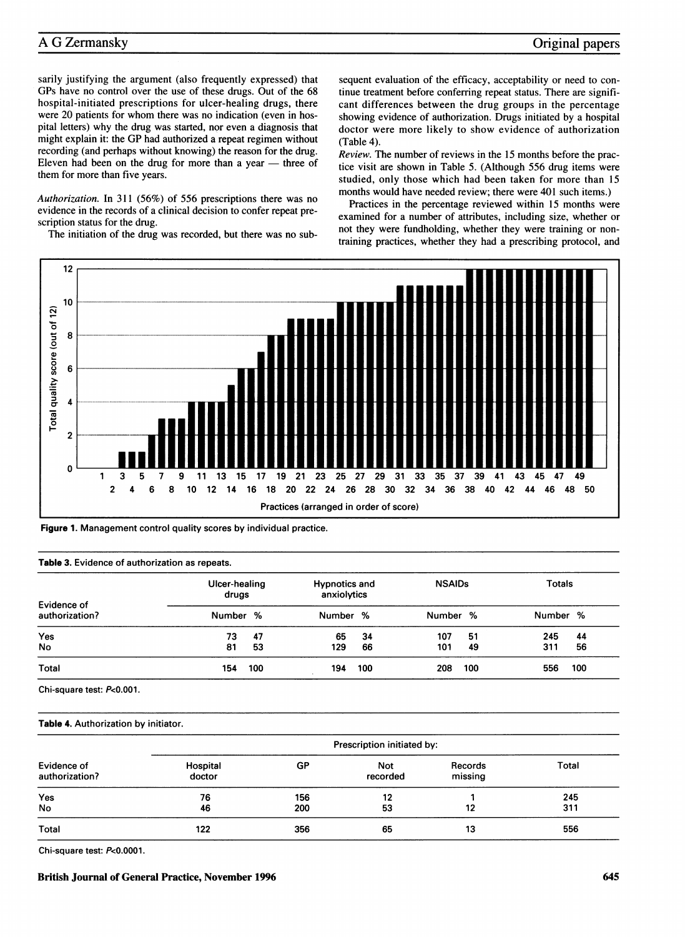# A G Zermansky

# Original papers

sarily justifying the argument (also frequently expressed) that GPs have no control over the use of these drugs. Out of the 68 hospital-initiated prescriptions for ulcer-healing drugs, there were 20 patients for whom there was no indication (even in hospital letters) why the drug was started, nor even a diagnosis that might explain it: the GP had authorized <sup>a</sup> repeat regimen without recording (and perhaps without knowing) the reason for the drug. Eleven had been on the drug for more than a year  $-$  three of them for more than five years.

Authorization. In 311 (56%) of 556 prescriptions there was no evidence in the records of a clinical decision to confer repeat prescription status for the drug.

The initiation of the drug was recorded, but there was no sub-

sequent evaluation of the efficacy, acceptability or need to continue treatment before conferring repeat status. There are significant differences between the drug groups in the percentage showing evidence of authorization. Drugs initiated by a hospital doctor were more likely to show evidence of authorization (Table 4).

Review. The number of reviews in the 15 months before the practice visit are shown in Table 5. (Although 556 drug items were studied, only those which had been taken for more than 15 months would have needed review; there were 401 such items.)

Practices in the percentage reviewed within 15 months were examined for a number of attributes, including size, whether or not they were fundholding, whether they were training or nontraining practices, whether they had a prescribing protocol, and





#### Table 3. Evidence of authorization as repeats.

| Evidence of<br>authorization? | Ulcer-healing<br>drugs |     | <b>Hypnotics and</b><br>anxiolytics |     | <b>NSAIDs</b> |     | <b>Totals</b> |     |
|-------------------------------|------------------------|-----|-------------------------------------|-----|---------------|-----|---------------|-----|
|                               | Number %               |     | Number %                            |     | Number %      |     | Number %      |     |
| Yes                           | 73                     | 47  | 65                                  | 34  | 107           | 51  | 245           | 44  |
| <b>No</b>                     | 81                     | 53  | 129                                 | 66  | 101           | 49  | 311           | 56  |
| Total                         | 154                    | 100 | 194                                 | 100 | 208           | 100 | 556           | 100 |

Chi-square test: P<0.001.

#### Table 4. Authorization by initiator.

|                               |                    |     | Prescription initiated by: |                    |       |
|-------------------------------|--------------------|-----|----------------------------|--------------------|-------|
| Evidence of<br>authorization? | Hospital<br>doctor | GP  | <b>Not</b><br>recorded     | Records<br>missing | Total |
| Yes                           | 76                 | 156 | 12                         |                    | 245   |
| <b>No</b>                     | 46                 | 200 | 53                         | 12                 | 311   |
| Total                         | 122                | 356 | 65                         | 13                 | 556   |

Chi-square test: P<0.0001.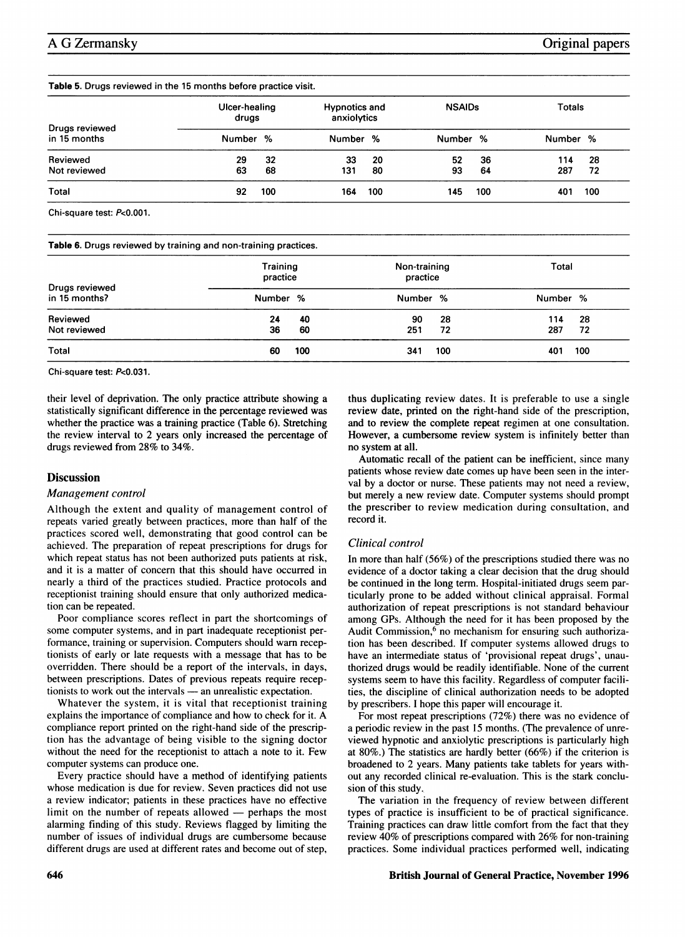#### Table 5. Drugs reviewed in the 15 months before practice visit.

| Drugs reviewed<br>in 15 months | Ulcer-healing<br>drugs |     | <b>Hypnotics and</b><br>anxiolytics |     | <b>NSAIDs</b> |     | <b>Totals</b> |     |
|--------------------------------|------------------------|-----|-------------------------------------|-----|---------------|-----|---------------|-----|
|                                | Number %               |     | Number %                            |     | Number %      |     | Number %      |     |
| Reviewed                       | 29                     | 32  | 33                                  | 20  | 52            | 36  | 114           | 28  |
| Not reviewed                   | 63                     | 68  | 131                                 | 80  | 93            | 64  | 287           | 72  |
| Total                          | 92                     | 100 | 164                                 | 100 | 145           | 100 | 401           | 100 |

Chi-square test: P<0.001.

Table 6. Drugs reviewed by training and non-training practices.

|                                 |          | <b>Training</b><br>Non-training<br>practice<br>practice |           |          | Total      |           |  |
|---------------------------------|----------|---------------------------------------------------------|-----------|----------|------------|-----------|--|
| Drugs reviewed<br>in 15 months? | Number % |                                                         | Number %  |          | Number %   |           |  |
| Reviewed<br>Not reviewed        | 24<br>36 | 40<br>60                                                | 90<br>251 | 28<br>72 | 114<br>287 | -28<br>72 |  |
| Total                           | 60       | 100                                                     | 341       | 100      | 401        | 100       |  |

Chi-square test: P<0.031.

their level of deprivation. The only practice attribute showing a statistically significant difference in the percentage reviewed was whether the practice was a training practice (Table 6). Stretching the review interval to 2 years only increased the percentage of drugs reviewed from 28% to 34%.

# Discussion

# Management control

Although the extent and quality of management control of repeats varied greatly between practices, more than half of the practices scored well, demonstrating that good control can be achieved. The preparation of repeat prescriptions for drugs for which repeat status has not been authorized puts patients at risk, and it is a matter of concern that this should have occurred in nearly a third of the practices studied. Practice protocols and receptionist training should ensure that only authorized medication can be repeated.

Poor compliance scores reflect in part the shortcomings of some computer systems, and in part inadequate receptionist performance, training or supervision. Computers should warn receptionists of early or late requests with a message that has to be overridden. There should be a report of the intervals, in days, between prescriptions. Dates of previous repeats require receptionists to work out the intervals — an unrealistic expectation.

Whatever the system, it is vital that receptionist training explains the importance of compliance and how to check for it. A compliance report printed on the right-hand side of the prescription has the advantage of being visible to the signing doctor without the need for the receptionist to attach a note to it. Few computer systems can produce one.

Every practice should have a method of identifying patients whose medication is due for review. Seven practices did not use a review indicator; patients in these practices have no effective limit on the number of repeats allowed - perhaps the most alarming finding of this study. Reviews flagged by limiting the number of issues of individual drugs are cumbersome because different drugs are used at different rates and become out of step,

thus duplicating review dates. It is preferable to use a single review date, printed on the right-hand side of the prescription, and to review the complete repeat regimen at one consultation. However, a cumbersome review system is infinitely better than no system at all.

Automatic recall of the patient can be inefficient, since many patients whose review date comes up have been seen in the interval by a doctor or nurse. These patients may not need a review, but merely a new review date. Computer systems should prompt the prescriber to review medication during consultation, and record it.

# Clinical control

In more than half (56%) of the prescriptions studied there was no evidence of a doctor taking a clear decision that the drug should be continued in the long term. Hospital-initiated drugs seem particularly prone to be added without clinical appraisal. Formal authorization of repeat prescriptions is not standard behaviour among GPs. Although the need for it has been proposed by the Audit Commission,<sup>6</sup> no mechanism for ensuring such authorization has been described. If computer systems allowed drugs to have an intermediate status of 'provisional repeat drugs', unauthorized drugs would be readily identifiable. None of the current systems seem to have this facility. Regardless of computer facilities, the discipline of clinical authorization needs to be adopted by prescribers. <sup>I</sup> hope this paper will encourage it.

For most repeat prescriptions (72%) there was no evidence of a periodic review in the past 15 months. (The prevalence of unreviewed hypnotic and anxiolytic prescriptions is particularly high at 80%.) The statistics are hardly better (66%) if the criterion is broadened to 2 years. Many patients take tablets for years without any recorded clinical re-evaluation. This is the stark conclusion of this study.

The variation in the frequency of review between different types of practice is insufficient to be of practical significance. Training practices can draw little comfort from the fact that they review 40% of prescriptions compared with 26% for non-training practices. Some individual practices performed well, indicating

# 646 British Journal of General Practice, November 1996